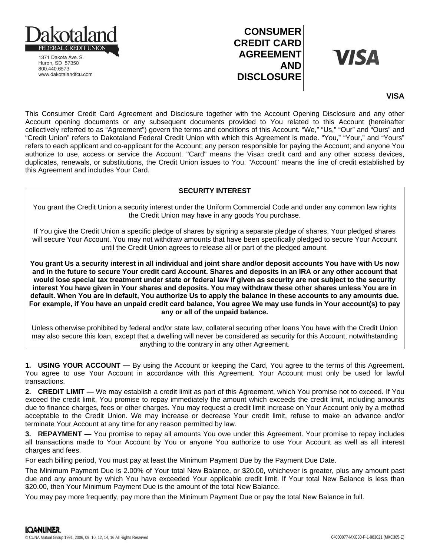

1371 Dakota Ave. S. Huron, SD 57350 800.440.6573 www.dakotalandfcu.com

## **CONSUMER CREDIT CARD AGREEMENT AND DISCLOSURE**

# **VISA**

### **VISA**

This Consumer Credit Card Agreement and Disclosure together with the Account Opening Disclosure and any other Account opening documents or any subsequent documents provided to You related to this Account (hereinafter collectively referred to as "Agreement") govern the terms and conditions of this Account. "We," "Us," "Our" and "Ours" and "Credit Union" refers to Dakotaland Federal Credit Union with which this Agreement is made. "You," "Your," and "Yours" refers to each applicant and co-applicant for the Account; any person responsible for paying the Account; and anyone You authorize to use, access or service the Account. "Card" means the Visa® credit card and any other access devices, duplicates, renewals, or substitutions, the Credit Union issues to You. "Account" means the line of credit established by this Agreement and includes Your Card.

#### **SECURITY INTEREST**

You grant the Credit Union a security interest under the Uniform Commercial Code and under any common law rights the Credit Union may have in any goods You purchase.

If You give the Credit Union a specific pledge of shares by signing a separate pledge of shares, Your pledged shares will secure Your Account. You may not withdraw amounts that have been specifically pledged to secure Your Account until the Credit Union agrees to release all or part of the pledged amount.

**You grant Us a security interest in all individual and joint share and/or deposit accounts You have with Us now and in the future to secure Your credit card Account. Shares and deposits in an IRA or any other account that would lose special tax treatment under state or federal law if given as security are not subject to the security interest You have given in Your shares and deposits. You may withdraw these other shares unless You are in default. When You are in default, You authorize Us to apply the balance in these accounts to any amounts due. For example, if You have an unpaid credit card balance, You agree We may use funds in Your account(s) to pay any or all of the unpaid balance.**

Unless otherwise prohibited by federal and/or state law, collateral securing other loans You have with the Credit Union may also secure this loan, except that a dwelling will never be considered as security for this Account, notwithstanding anything to the contrary in any other Agreement.

**1. USING YOUR ACCOUNT —** By using the Account or keeping the Card, You agree to the terms of this Agreement. You agree to use Your Account in accordance with this Agreement. Your Account must only be used for lawful transactions.

**2. CREDIT LIMIT —** We may establish a credit limit as part of this Agreement, which You promise not to exceed. If You exceed the credit limit, You promise to repay immediately the amount which exceeds the credit limit, including amounts due to finance charges, fees or other charges. You may request a credit limit increase on Your Account only by a method acceptable to the Credit Union. We may increase or decrease Your credit limit, refuse to make an advance and/or terminate Your Account at any time for any reason permitted by law.

**3. REPAYMENT —** You promise to repay all amounts You owe under this Agreement. Your promise to repay includes all transactions made to Your Account by You or anyone You authorize to use Your Account as well as all interest charges and fees.

For each billing period, You must pay at least the Minimum Payment Due by the Payment Due Date.

The Minimum Payment Due is 2.00% of Your total New Balance, or \$20.00, whichever is greater, plus any amount past due and any amount by which You have exceeded Your applicable credit limit. If Your total New Balance is less than \$20.00, then Your Minimum Payment Due is the amount of the total New Balance.

You may pay more frequently, pay more than the Minimum Payment Due or pay the total New Balance in full.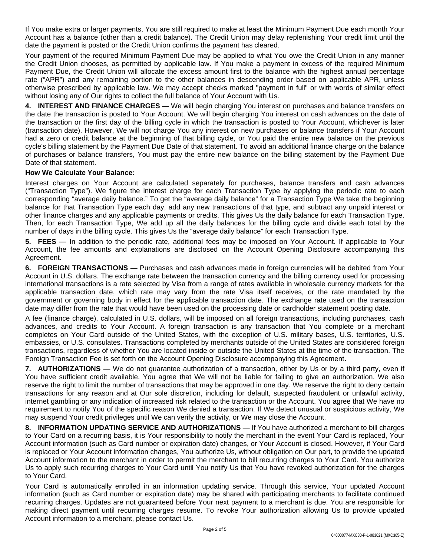If You make extra or larger payments, You are still required to make at least the Minimum Payment Due each month Your Account has a balance (other than a credit balance). The Credit Union may delay replenishing Your credit limit until the date the payment is posted or the Credit Union confirms the payment has cleared.

Your payment of the required Minimum Payment Due may be applied to what You owe the Credit Union in any manner the Credit Union chooses, as permitted by applicable law. If You make a payment in excess of the required Minimum Payment Due, the Credit Union will allocate the excess amount first to the balance with the highest annual percentage rate ("APR") and any remaining portion to the other balances in descending order based on applicable APR, unless otherwise prescribed by applicable law. We may accept checks marked "payment in full" or with words of similar effect without losing any of Our rights to collect the full balance of Your Account with Us.

**4. INTEREST AND FINANCE CHARGES —** We will begin charging You interest on purchases and balance transfers on the date the transaction is posted to Your Account. We will begin charging You interest on cash advances on the date of the transaction or the first day of the billing cycle in which the transaction is posted to Your Account, whichever is later (transaction date). However, We will not charge You any interest on new purchases or balance transfers if Your Account had a zero or credit balance at the beginning of that billing cycle, or You paid the entire new balance on the previous cycle's billing statement by the Payment Due Date of that statement. To avoid an additional finance charge on the balance of purchases or balance transfers, You must pay the entire new balance on the billing statement by the Payment Due Date of that statement.

#### **How We Calculate Your Balance:**

Interest charges on Your Account are calculated separately for purchases, balance transfers and cash advances ("Transaction Type"). We figure the interest charge for each Transaction Type by applying the periodic rate to each corresponding "average daily balance." To get the "average daily balance" for a Transaction Type We take the beginning balance for that Transaction Type each day, add any new transactions of that type, and subtract any unpaid interest or other finance charges and any applicable payments or credits. This gives Us the daily balance for each Transaction Type. Then, for each Transaction Type, We add up all the daily balances for the billing cycle and divide each total by the number of days in the billing cycle. This gives Us the "average daily balance" for each Transaction Type.

**5. FEES —** In addition to the periodic rate, additional fees may be imposed on Your Account. If applicable to Your Account, the fee amounts and explanations are disclosed on the Account Opening Disclosure accompanying this Agreement.

**6. FOREIGN TRANSACTIONS —** Purchases and cash advances made in foreign currencies will be debited from Your Account in U.S. dollars. The exchange rate between the transaction currency and the billing currency used for processing international transactions is a rate selected by Visa from a range of rates available in wholesale currency markets for the applicable transaction date, which rate may vary from the rate Visa itself receives, or the rate mandated by the government or governing body in effect for the applicable transaction date. The exchange rate used on the transaction date may differ from the rate that would have been used on the processing date or cardholder statement posting date.

A fee (finance charge), calculated in U.S. dollars, will be imposed on all foreign transactions, including purchases, cash advances, and credits to Your Account. A foreign transaction is any transaction that You complete or a merchant completes on Your Card outside of the United States, with the exception of U.S. military bases, U.S. territories, U.S. embassies, or U.S. consulates. Transactions completed by merchants outside of the United States are considered foreign transactions, regardless of whether You are located inside or outside the United States at the time of the transaction. The Foreign Transaction Fee is set forth on the Account Opening Disclosure accompanying this Agreement.

**7. AUTHORIZATIONS —** We do not guarantee authorization of a transaction, either by Us or by a third party, even if You have sufficient credit available. You agree that We will not be liable for failing to give an authorization. We also reserve the right to limit the number of transactions that may be approved in one day. We reserve the right to deny certain transactions for any reason and at Our sole discretion, including for default, suspected fraudulent or unlawful activity, internet gambling or any indication of increased risk related to the transaction or the Account. You agree that We have no requirement to notify You of the specific reason We denied a transaction. If We detect unusual or suspicious activity, We may suspend Your credit privileges until We can verify the activity, or We may close the Account.

**8. INFORMATION UPDATING SERVICE AND AUTHORIZATIONS —** If You have authorized a merchant to bill charges to Your Card on a recurring basis, it is Your responsibility to notify the merchant in the event Your Card is replaced, Your Account information (such as Card number or expiration date) changes, or Your Account is closed. However, if Your Card is replaced or Your Account information changes, You authorize Us, without obligation on Our part, to provide the updated Account information to the merchant in order to permit the merchant to bill recurring charges to Your Card. You authorize Us to apply such recurring charges to Your Card until You notify Us that You have revoked authorization for the charges to Your Card.

Your Card is automatically enrolled in an information updating service. Through this service, Your updated Account information (such as Card number or expiration date) may be shared with participating merchants to facilitate continued recurring charges. Updates are not guaranteed before Your next payment to a merchant is due. You are responsible for making direct payment until recurring charges resume. To revoke Your authorization allowing Us to provide updated Account information to a merchant, please contact Us.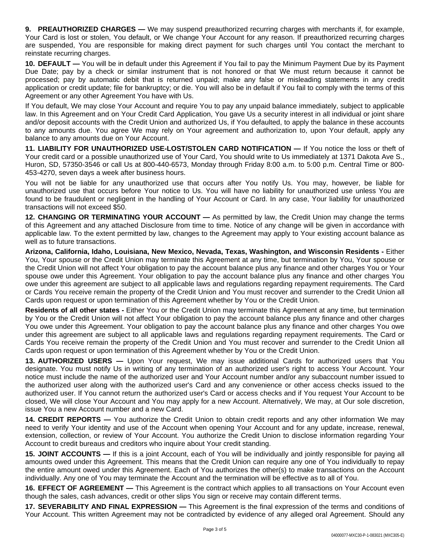**9. PREAUTHORIZED CHARGES —** We may suspend preauthorized recurring charges with merchants if, for example, Your Card is lost or stolen, You default, or We change Your Account for any reason. If preauthorized recurring charges are suspended, You are responsible for making direct payment for such charges until You contact the merchant to reinstate recurring charges.

**10. DEFAULT —** You will be in default under this Agreement if You fail to pay the Minimum Payment Due by its Payment Due Date; pay by a check or similar instrument that is not honored or that We must return because it cannot be processed; pay by automatic debit that is returned unpaid; make any false or misleading statements in any credit application or credit update; file for bankruptcy; or die. You will also be in default if You fail to comply with the terms of this Agreement or any other Agreement You have with Us.

If You default, We may close Your Account and require You to pay any unpaid balance immediately, subject to applicable law. In this Agreement and on Your Credit Card Application, You gave Us a security interest in all individual or joint share and/or deposit accounts with the Credit Union and authorized Us, if You defaulted, to apply the balance in these accounts to any amounts due. You agree We may rely on Your agreement and authorization to, upon Your default, apply any balance to any amounts due on Your Account.

**11. LIABILITY FOR UNAUTHORIZED USE-LOST/STOLEN CARD NOTIFICATION —** If You notice the loss or theft of Your credit card or a possible unauthorized use of Your Card, You should write to Us immediately at 1371 Dakota Ave S., Huron, SD, 57350-3546 or call Us at 800-440-6573, Monday through Friday 8:00 a.m. to 5:00 p.m. Central Time or 800- 453-4270, seven days a week after business hours.

You will not be liable for any unauthorized use that occurs after You notify Us. You may, however, be liable for unauthorized use that occurs before Your notice to Us. You will have no liability for unauthorized use unless You are found to be fraudulent or negligent in the handling of Your Account or Card. In any case, Your liability for unauthorized transactions will not exceed \$50.

**12. CHANGING OR TERMINATING YOUR ACCOUNT —** As permitted by law, the Credit Union may change the terms of this Agreement and any attached Disclosure from time to time. Notice of any change will be given in accordance with applicable law. To the extent permitted by law, changes to the Agreement may apply to Your existing account balance as well as to future transactions.

**Arizona, California, Idaho, Louisiana, New Mexico, Nevada, Texas, Washington, and Wisconsin Residents -** Either You, Your spouse or the Credit Union may terminate this Agreement at any time, but termination by You, Your spouse or the Credit Union will not affect Your obligation to pay the account balance plus any finance and other charges You or Your spouse owe under this Agreement. Your obligation to pay the account balance plus any finance and other charges You owe under this agreement are subject to all applicable laws and regulations regarding repayment requirements. The Card or Cards You receive remain the property of the Credit Union and You must recover and surrender to the Credit Union all Cards upon request or upon termination of this Agreement whether by You or the Credit Union.

**Residents of all other states -** Either You or the Credit Union may terminate this Agreement at any time, but termination by You or the Credit Union will not affect Your obligation to pay the account balance plus any finance and other charges You owe under this Agreement. Your obligation to pay the account balance plus any finance and other charges You owe under this agreement are subject to all applicable laws and regulations regarding repayment requirements. The Card or Cards You receive remain the property of the Credit Union and You must recover and surrender to the Credit Union all Cards upon request or upon termination of this Agreement whether by You or the Credit Union.

**13. AUTHORIZED USERS —** Upon Your request, We may issue additional Cards for authorized users that You designate. You must notify Us in writing of any termination of an authorized user's right to access Your Account. Your notice must include the name of the authorized user and Your Account number and/or any subaccount number issued to the authorized user along with the authorized user's Card and any convenience or other access checks issued to the authorized user. If You cannot return the authorized user's Card or access checks and if You request Your Account to be closed, We will close Your Account and You may apply for a new Account. Alternatively, We may, at Our sole discretion, issue You a new Account number and a new Card.

**14. CREDIT REPORTS —** You authorize the Credit Union to obtain credit reports and any other information We may need to verify Your identity and use of the Account when opening Your Account and for any update, increase, renewal, extension, collection, or review of Your Account. You authorize the Credit Union to disclose information regarding Your Account to credit bureaus and creditors who inquire about Your credit standing.

**15. JOINT ACCOUNTS —** If this is a joint Account, each of You will be individually and jointly responsible for paying all amounts owed under this Agreement. This means that the Credit Union can require any one of You individually to repay the entire amount owed under this Agreement. Each of You authorizes the other(s) to make transactions on the Account individually. Any one of You may terminate the Account and the termination will be effective as to all of You.

**16. EFFECT OF AGREEMENT —** This Agreement is the contract which applies to all transactions on Your Account even though the sales, cash advances, credit or other slips You sign or receive may contain different terms.

**17. SEVERABILITY AND FINAL EXPRESSION —** This Agreement is the final expression of the terms and conditions of Your Account. This written Agreement may not be contradicted by evidence of any alleged oral Agreement. Should any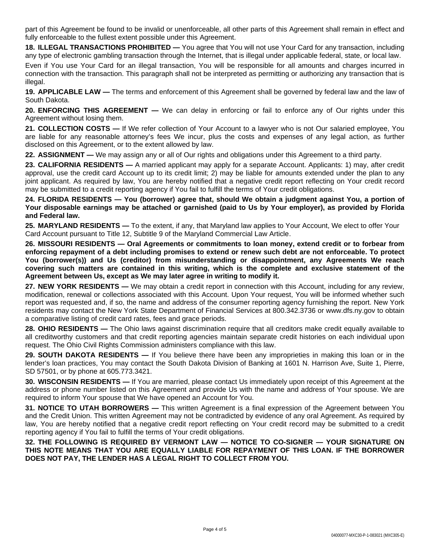part of this Agreement be found to be invalid or unenforceable, all other parts of this Agreement shall remain in effect and fully enforceable to the fullest extent possible under this Agreement.

**18. ILLEGAL TRANSACTIONS PROHIBITED —** You agree that You will not use Your Card for any transaction, including any type of electronic gambling transaction through the Internet, that is illegal under applicable federal, state, or local law.

Even if You use Your Card for an illegal transaction, You will be responsible for all amounts and charges incurred in connection with the transaction. This paragraph shall not be interpreted as permitting or authorizing any transaction that is illegal.

**19. APPLICABLE LAW —** The terms and enforcement of this Agreement shall be governed by federal law and the law of South Dakota.

**20. ENFORCING THIS AGREEMENT —** We can delay in enforcing or fail to enforce any of Our rights under this Agreement without losing them.

**21. COLLECTION COSTS —** If We refer collection of Your Account to a lawyer who is not Our salaried employee, You are liable for any reasonable attorney's fees We incur, plus the costs and expenses of any legal action, as further disclosed on this Agreement, or to the extent allowed by law.

**22. ASSIGNMENT —** We may assign any or all of Our rights and obligations under this Agreement to a third party.

**23. CALIFORNIA RESIDENTS —** A married applicant may apply for a separate Account. Applicants: 1) may, after credit approval, use the credit card Account up to its credit limit; 2) may be liable for amounts extended under the plan to any joint applicant. As required by law, You are hereby notified that a negative credit report reflecting on Your credit record may be submitted to a credit reporting agency if You fail to fulfill the terms of Your credit obligations.

24. FLORIDA RESIDENTS - You (borrower) agree that, should We obtain a judgment against You, a portion of Your disposable earnings may be attached or garnished (paid to Us by Your employer), as provided by Florida **and Federal law.**

**25. MARYLAND RESIDENTS —** To the extent, if any, that Maryland law applies to Your Account, We elect to offer Your Card Account pursuant to Title 12, Subtitle 9 of the Maryland Commercial Law Article.

**26. MISSOURI RESIDENTS — Oral Agreements or commitments to loan money, extend credit or to forbear from** enforcing repayment of a debt including promises to extend or renew such debt are not enforceable. To protect **You (borrower(s)) and Us (creditor) from misunderstanding or disappointment, any Agreements We reach covering such matters are contained in this writing, which is the complete and exclusive statement of the Agreement between Us, except as We may later agree in writing to modify it.**

**27. NEW YORK RESIDENTS —** We may obtain a credit report in connection with this Account, including for any review, modification, renewal or collections associated with this Account. Upon Your request, You will be informed whether such report was requested and, if so, the name and address of the consumer reporting agency furnishing the report. New York residents may contact the New York State Department of Financial Services at 800.342.3736 or www.dfs.ny.gov to obtain a comparative listing of credit card rates, fees and grace periods.

**28. OHIO RESIDENTS** — The Ohio laws against discrimination require that all creditors make credit equally available to all creditworthy customers and that credit reporting agencies maintain separate credit histories on each individual upon request. The Ohio Civil Rights Commission administers compliance with this law.

**29. SOUTH DAKOTA RESIDENTS —** If You believe there have been any improprieties in making this loan or in the lender's loan practices, You may contact the South Dakota Division of Banking at 1601 N. Harrison Ave, Suite 1, Pierre, SD 57501, or by phone at 605.773.3421.

**30. WISCONSIN RESIDENTS —** If You are married, please contact Us immediately upon receipt of this Agreement at the address or phone number listed on this Agreement and provide Us with the name and address of Your spouse. We are required to inform Your spouse that We have opened an Account for You.

**31. NOTICE TO UTAH BORROWERS —** This written Agreement is a final expression of the Agreement between You and the Credit Union. This written Agreement may not be contradicted by evidence of any oral Agreement. As required by law, You are hereby notified that a negative credit report reflecting on Your credit record may be submitted to a credit reporting agency if You fail to fulfill the terms of Your credit obligations.

**32. THE FOLLOWING IS REQUIRED BY VERMONT LAW — NOTICE TO CO-SIGNER — YOUR SIGNATURE ON THIS NOTE MEANS THAT YOU ARE EQUALLY LIABLE FOR REPAYMENT OF THIS LOAN. IF THE BORROWER DOES NOT PAY, THE LENDER HAS A LEGAL RIGHT TO COLLECT FROM YOU.**